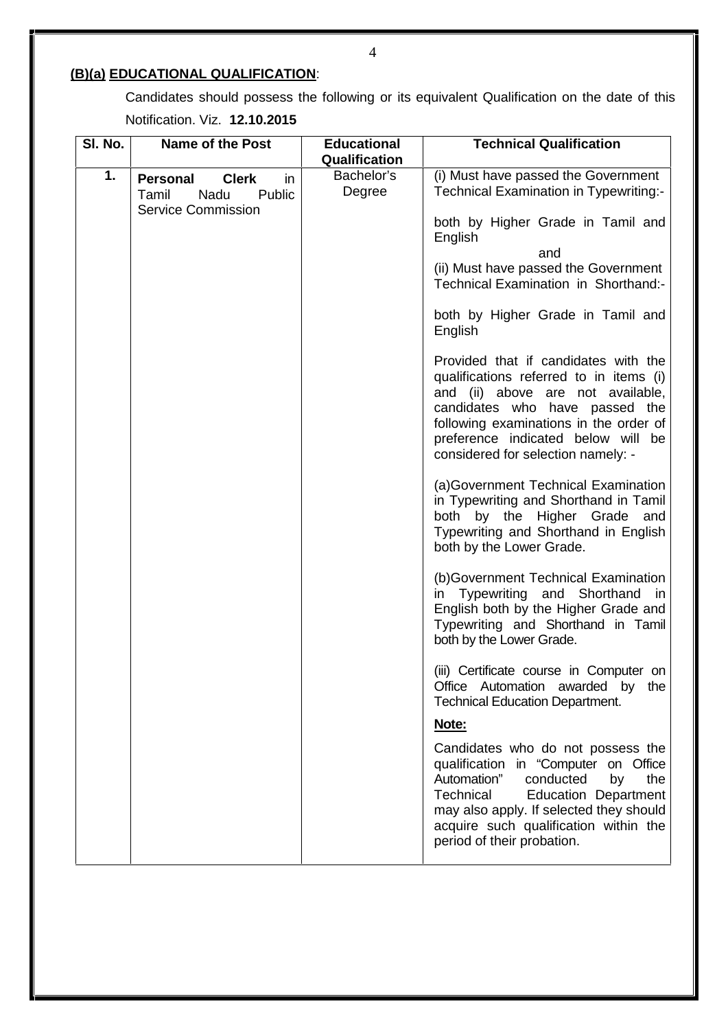# **(B)(a) EDUCATIONAL QUALIFICATION**:

Candidates should possess the following or its equivalent Qualification on the date of this Notification. Viz. **12.10.2015**

| SI. No. | <b>Name of the Post</b>                                                                       | <b>Educational</b><br>Qualification | <b>Technical Qualification</b>                                                                                                                                                                                                                                                   |
|---------|-----------------------------------------------------------------------------------------------|-------------------------------------|----------------------------------------------------------------------------------------------------------------------------------------------------------------------------------------------------------------------------------------------------------------------------------|
| 1.      | <b>Clerk</b><br><b>Personal</b><br>in<br>Public<br>Tamil<br>Nadu<br><b>Service Commission</b> | Bachelor's<br>Degree                | (i) Must have passed the Government<br>Technical Examination in Typewriting:-                                                                                                                                                                                                    |
|         |                                                                                               |                                     | both by Higher Grade in Tamil and<br>English                                                                                                                                                                                                                                     |
|         |                                                                                               |                                     | and<br>(ii) Must have passed the Government<br>Technical Examination in Shorthand:-                                                                                                                                                                                              |
|         |                                                                                               |                                     | both by Higher Grade in Tamil and<br>English                                                                                                                                                                                                                                     |
|         |                                                                                               |                                     | Provided that if candidates with the<br>qualifications referred to in items (i)<br>and (ii) above are not available,<br>candidates who have passed the<br>following examinations in the order of<br>preference indicated below will be<br>considered for selection namely: -     |
|         |                                                                                               |                                     | (a)Government Technical Examination<br>in Typewriting and Shorthand in Tamil<br>both by the Higher Grade and<br>Typewriting and Shorthand in English<br>both by the Lower Grade.                                                                                                 |
|         |                                                                                               |                                     | (b)Government Technical Examination<br>Typewriting and Shorthand in<br>in.<br>English both by the Higher Grade and<br>Typewriting and Shorthand in Tamil<br>both by the Lower Grade.                                                                                             |
|         |                                                                                               |                                     | (iii) Certificate course in Computer on<br>Office Automation awarded by the<br><b>Technical Education Department.</b>                                                                                                                                                            |
|         |                                                                                               |                                     | Note:                                                                                                                                                                                                                                                                            |
|         |                                                                                               |                                     | Candidates who do not possess the<br>qualification in "Computer on Office<br>Automation"<br>conducted<br>the<br>by<br>Technical<br><b>Education Department</b><br>may also apply. If selected they should<br>acquire such qualification within the<br>period of their probation. |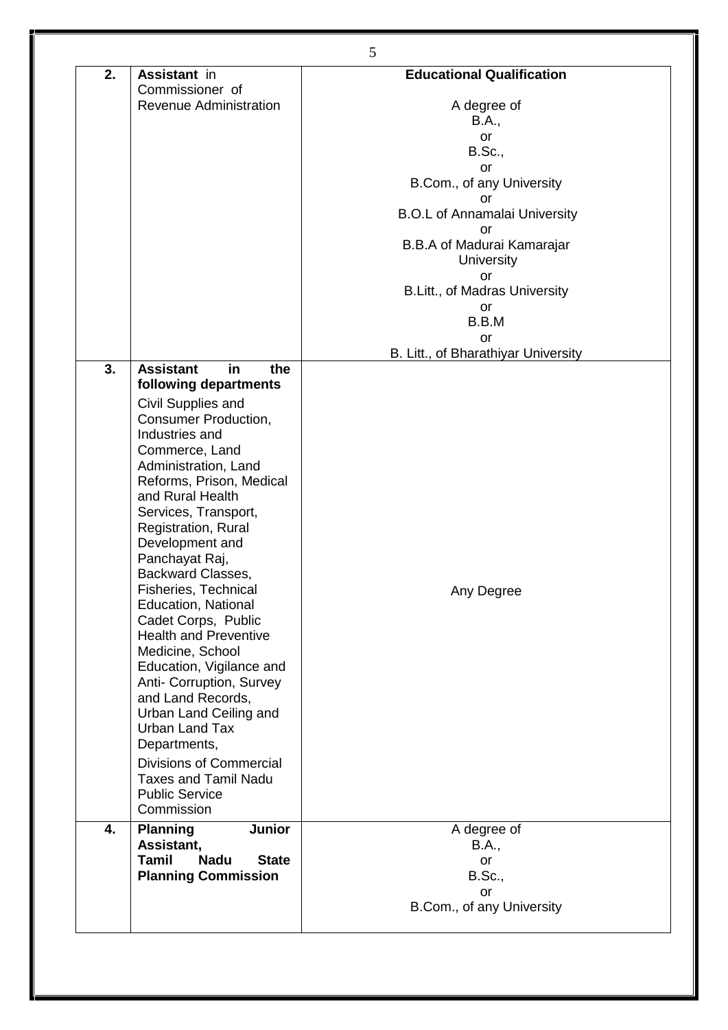| 2. | Assistant in                                  | <b>Educational Qualification</b>     |
|----|-----------------------------------------------|--------------------------------------|
|    | Commissioner of                               |                                      |
|    | Revenue Administration                        | A degree of                          |
|    |                                               | <b>B.A.,</b>                         |
|    |                                               | or                                   |
|    |                                               | <b>B.Sc.,</b>                        |
|    |                                               | <b>or</b>                            |
|    |                                               | B.Com., of any University            |
|    |                                               | or                                   |
|    |                                               | <b>B.O.L of Annamalai University</b> |
|    |                                               | or                                   |
|    |                                               | B.B.A of Madurai Kamarajar           |
|    |                                               | University                           |
|    |                                               | or                                   |
|    |                                               | B.Litt., of Madras University        |
|    |                                               | or<br>B.B.M                          |
|    |                                               | or                                   |
|    |                                               | B. Litt., of Bharathiyar University  |
| 3. | <b>Assistant</b><br>in<br>the                 |                                      |
|    | following departments                         |                                      |
|    | Civil Supplies and                            |                                      |
|    | <b>Consumer Production,</b>                   |                                      |
|    | Industries and                                |                                      |
|    | Commerce, Land                                |                                      |
|    | Administration, Land                          |                                      |
|    | Reforms, Prison, Medical                      |                                      |
|    | and Rural Health                              |                                      |
|    | Services, Transport,                          |                                      |
|    | Registration, Rural                           |                                      |
|    | Development and                               |                                      |
|    | Panchayat Raj,                                |                                      |
|    | Backward Classes,                             |                                      |
|    | <b>Fisheries, Technical</b>                   | Any Degree                           |
|    | Education, National                           |                                      |
|    | Cadet Corps, Public                           |                                      |
|    | <b>Health and Preventive</b>                  |                                      |
|    | Medicine, School                              |                                      |
|    | Education, Vigilance and                      |                                      |
|    | Anti- Corruption, Survey<br>and Land Records, |                                      |
|    | Urban Land Ceiling and                        |                                      |
|    | Urban Land Tax                                |                                      |
|    | Departments,                                  |                                      |
|    | <b>Divisions of Commercial</b>                |                                      |
|    | <b>Taxes and Tamil Nadu</b>                   |                                      |
|    | <b>Public Service</b>                         |                                      |
|    | Commission                                    |                                      |
| 4. | <b>Planning</b><br><b>Junior</b>              |                                      |
|    | Assistant,                                    | A degree of<br>B.A.,                 |
|    | Tamil<br><b>Nadu</b><br><b>State</b>          | or                                   |
|    | <b>Planning Commission</b>                    | <b>B.Sc.,</b>                        |
|    |                                               | <b>or</b>                            |
|    |                                               | B.Com., of any University            |
|    |                                               |                                      |